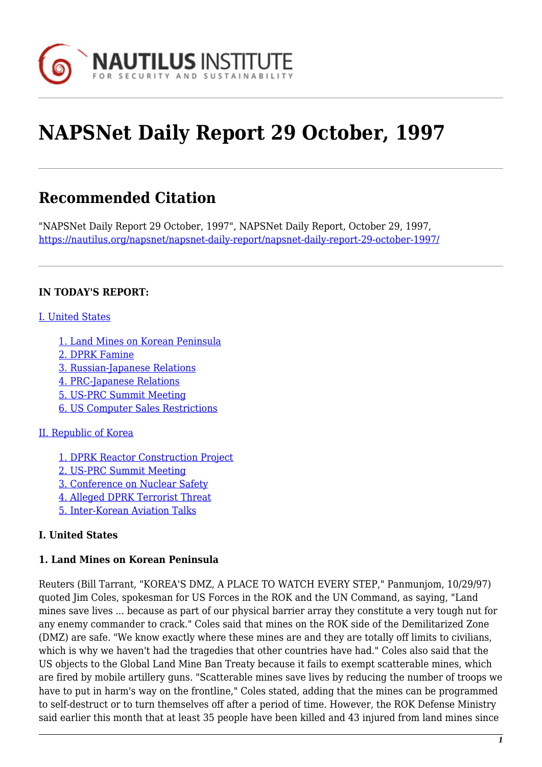

# **NAPSNet Daily Report 29 October, 1997**

# **Recommended Citation**

"NAPSNet Daily Report 29 October, 1997", NAPSNet Daily Report, October 29, 1997, <https://nautilus.org/napsnet/napsnet-daily-report/napsnet-daily-report-29-october-1997/>

#### **IN TODAY'S REPORT:**

#### [I. United States](#page-0-0)

- [1. Land Mines on Korean Peninsula](#page-0-1)
- [2. DPRK Famine](#page-1-0)
- [3. Russian-Japanese Relations](#page-1-1)
- [4. PRC-Japanese Relations](#page-1-2)
- [5. US-PRC Summit Meeting](#page-1-3)
- [6. US Computer Sales Restrictions](#page-2-0)

#### [II. Republic of Korea](#page-2-1)

- [1. DPRK Reactor Construction Project](#page-2-2)
- [2. US-PRC Summit Meeting](#page-3-0)
- [3. Conference on Nuclear Safety](#page-3-1)
- [4. Alleged DPRK Terrorist Threat](#page-3-2)
- [5. Inter-Korean Aviation Talks](#page-3-3)

# <span id="page-0-0"></span>**I. United States**

#### <span id="page-0-1"></span>**1. Land Mines on Korean Peninsula**

Reuters (Bill Tarrant, "KOREA'S DMZ, A PLACE TO WATCH EVERY STEP," Panmunjom, 10/29/97) quoted Jim Coles, spokesman for US Forces in the ROK and the UN Command, as saying, "Land mines save lives ... because as part of our physical barrier array they constitute a very tough nut for any enemy commander to crack." Coles said that mines on the ROK side of the Demilitarized Zone (DMZ) are safe. "We know exactly where these mines are and they are totally off limits to civilians, which is why we haven't had the tragedies that other countries have had." Coles also said that the US objects to the Global Land Mine Ban Treaty because it fails to exempt scatterable mines, which are fired by mobile artillery guns. "Scatterable mines save lives by reducing the number of troops we have to put in harm's way on the frontline," Coles stated, adding that the mines can be programmed to self-destruct or to turn themselves off after a period of time. However, the ROK Defense Ministry said earlier this month that at least 35 people have been killed and 43 injured from land mines since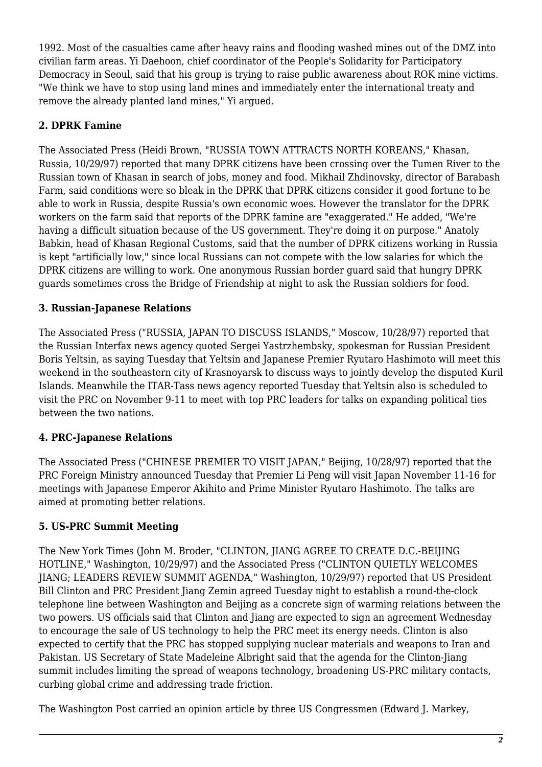1992. Most of the casualties came after heavy rains and flooding washed mines out of the DMZ into civilian farm areas. Yi Daehoon, chief coordinator of the People's Solidarity for Participatory Democracy in Seoul, said that his group is trying to raise public awareness about ROK mine victims. "We think we have to stop using land mines and immediately enter the international treaty and remove the already planted land mines," Yi argued.

#### <span id="page-1-0"></span>**2. DPRK Famine**

The Associated Press (Heidi Brown, "RUSSIA TOWN ATTRACTS NORTH KOREANS," Khasan, Russia, 10/29/97) reported that many DPRK citizens have been crossing over the Tumen River to the Russian town of Khasan in search of jobs, money and food. Mikhail Zhdinovsky, director of Barabash Farm, said conditions were so bleak in the DPRK that DPRK citizens consider it good fortune to be able to work in Russia, despite Russia's own economic woes. However the translator for the DPRK workers on the farm said that reports of the DPRK famine are "exaggerated." He added, "We're having a difficult situation because of the US government. They're doing it on purpose." Anatoly Babkin, head of Khasan Regional Customs, said that the number of DPRK citizens working in Russia is kept "artificially low," since local Russians can not compete with the low salaries for which the DPRK citizens are willing to work. One anonymous Russian border guard said that hungry DPRK guards sometimes cross the Bridge of Friendship at night to ask the Russian soldiers for food.

#### <span id="page-1-1"></span>**3. Russian-Japanese Relations**

The Associated Press ("RUSSIA, JAPAN TO DISCUSS ISLANDS," Moscow, 10/28/97) reported that the Russian Interfax news agency quoted Sergei Yastrzhembsky, spokesman for Russian President Boris Yeltsin, as saying Tuesday that Yeltsin and Japanese Premier Ryutaro Hashimoto will meet this weekend in the southeastern city of Krasnoyarsk to discuss ways to jointly develop the disputed Kuril Islands. Meanwhile the ITAR-Tass news agency reported Tuesday that Yeltsin also is scheduled to visit the PRC on November 9-11 to meet with top PRC leaders for talks on expanding political ties between the two nations.

# <span id="page-1-2"></span>**4. PRC-Japanese Relations**

The Associated Press ("CHINESE PREMIER TO VISIT JAPAN," Beijing, 10/28/97) reported that the PRC Foreign Ministry announced Tuesday that Premier Li Peng will visit Japan November 11-16 for meetings with Japanese Emperor Akihito and Prime Minister Ryutaro Hashimoto. The talks are aimed at promoting better relations.

# <span id="page-1-3"></span>**5. US-PRC Summit Meeting**

The New York Times (John M. Broder, "CLINTON, JIANG AGREE TO CREATE D.C.-BEIJING HOTLINE," Washington, 10/29/97) and the Associated Press ("CLINTON QUIETLY WELCOMES JIANG; LEADERS REVIEW SUMMIT AGENDA," Washington, 10/29/97) reported that US President Bill Clinton and PRC President Jiang Zemin agreed Tuesday night to establish a round-the-clock telephone line between Washington and Beijing as a concrete sign of warming relations between the two powers. US officials said that Clinton and Jiang are expected to sign an agreement Wednesday to encourage the sale of US technology to help the PRC meet its energy needs. Clinton is also expected to certify that the PRC has stopped supplying nuclear materials and weapons to Iran and Pakistan. US Secretary of State Madeleine Albright said that the agenda for the Clinton-Jiang summit includes limiting the spread of weapons technology, broadening US-PRC military contacts, curbing global crime and addressing trade friction.

The Washington Post carried an opinion article by three US Congressmen (Edward J. Markey,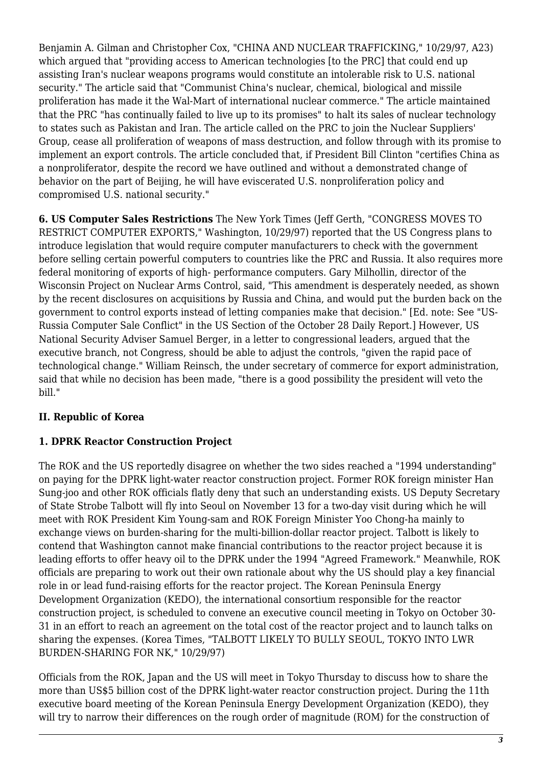Benjamin A. Gilman and Christopher Cox, "CHINA AND NUCLEAR TRAFFICKING," 10/29/97, A23) which argued that "providing access to American technologies [to the PRC] that could end up assisting Iran's nuclear weapons programs would constitute an intolerable risk to U.S. national security." The article said that "Communist China's nuclear, chemical, biological and missile proliferation has made it the Wal-Mart of international nuclear commerce." The article maintained that the PRC "has continually failed to live up to its promises" to halt its sales of nuclear technology to states such as Pakistan and Iran. The article called on the PRC to join the Nuclear Suppliers' Group, cease all proliferation of weapons of mass destruction, and follow through with its promise to implement an export controls. The article concluded that, if President Bill Clinton "certifies China as a nonproliferator, despite the record we have outlined and without a demonstrated change of behavior on the part of Beijing, he will have eviscerated U.S. nonproliferation policy and compromised U.S. national security."

<span id="page-2-0"></span>**6. US Computer Sales Restrictions** The New York Times (Jeff Gerth, "CONGRESS MOVES TO RESTRICT COMPUTER EXPORTS," Washington, 10/29/97) reported that the US Congress plans to introduce legislation that would require computer manufacturers to check with the government before selling certain powerful computers to countries like the PRC and Russia. It also requires more federal monitoring of exports of high- performance computers. Gary Milhollin, director of the Wisconsin Project on Nuclear Arms Control, said, "This amendment is desperately needed, as shown by the recent disclosures on acquisitions by Russia and China, and would put the burden back on the government to control exports instead of letting companies make that decision." [Ed. note: See "US-Russia Computer Sale Conflict" in the US Section of the October 28 Daily Report.] However, US National Security Adviser Samuel Berger, in a letter to congressional leaders, argued that the executive branch, not Congress, should be able to adjust the controls, "given the rapid pace of technological change." William Reinsch, the under secretary of commerce for export administration, said that while no decision has been made, "there is a good possibility the president will veto the bill."

# <span id="page-2-1"></span>**II. Republic of Korea**

# <span id="page-2-2"></span>**1. DPRK Reactor Construction Project**

The ROK and the US reportedly disagree on whether the two sides reached a "1994 understanding" on paying for the DPRK light-water reactor construction project. Former ROK foreign minister Han Sung-joo and other ROK officials flatly deny that such an understanding exists. US Deputy Secretary of State Strobe Talbott will fly into Seoul on November 13 for a two-day visit during which he will meet with ROK President Kim Young-sam and ROK Foreign Minister Yoo Chong-ha mainly to exchange views on burden-sharing for the multi-billion-dollar reactor project. Talbott is likely to contend that Washington cannot make financial contributions to the reactor project because it is leading efforts to offer heavy oil to the DPRK under the 1994 "Agreed Framework." Meanwhile, ROK officials are preparing to work out their own rationale about why the US should play a key financial role in or lead fund-raising efforts for the reactor project. The Korean Peninsula Energy Development Organization (KEDO), the international consortium responsible for the reactor construction project, is scheduled to convene an executive council meeting in Tokyo on October 30- 31 in an effort to reach an agreement on the total cost of the reactor project and to launch talks on sharing the expenses. (Korea Times, "TALBOTT LIKELY TO BULLY SEOUL, TOKYO INTO LWR BURDEN-SHARING FOR NK," 10/29/97)

Officials from the ROK, Japan and the US will meet in Tokyo Thursday to discuss how to share the more than US\$5 billion cost of the DPRK light-water reactor construction project. During the 11th executive board meeting of the Korean Peninsula Energy Development Organization (KEDO), they will try to narrow their differences on the rough order of magnitude (ROM) for the construction of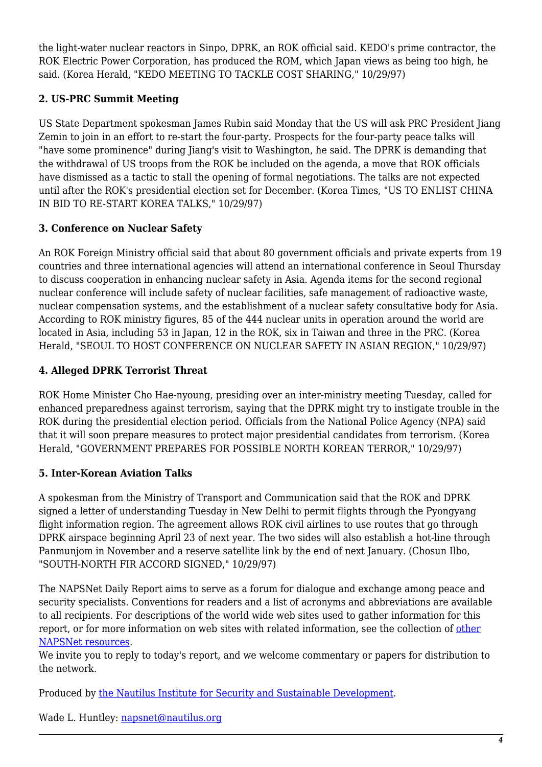the light-water nuclear reactors in Sinpo, DPRK, an ROK official said. KEDO's prime contractor, the ROK Electric Power Corporation, has produced the ROM, which Japan views as being too high, he said. (Korea Herald, "KEDO MEETING TO TACKLE COST SHARING," 10/29/97)

# <span id="page-3-0"></span>**2. US-PRC Summit Meeting**

US State Department spokesman James Rubin said Monday that the US will ask PRC President Jiang Zemin to join in an effort to re-start the four-party. Prospects for the four-party peace talks will "have some prominence" during Jiang's visit to Washington, he said. The DPRK is demanding that the withdrawal of US troops from the ROK be included on the agenda, a move that ROK officials have dismissed as a tactic to stall the opening of formal negotiations. The talks are not expected until after the ROK's presidential election set for December. (Korea Times, "US TO ENLIST CHINA IN BID TO RE-START KOREA TALKS," 10/29/97)

#### <span id="page-3-1"></span>**3. Conference on Nuclear Safety**

An ROK Foreign Ministry official said that about 80 government officials and private experts from 19 countries and three international agencies will attend an international conference in Seoul Thursday to discuss cooperation in enhancing nuclear safety in Asia. Agenda items for the second regional nuclear conference will include safety of nuclear facilities, safe management of radioactive waste, nuclear compensation systems, and the establishment of a nuclear safety consultative body for Asia. According to ROK ministry figures, 85 of the 444 nuclear units in operation around the world are located in Asia, including 53 in Japan, 12 in the ROK, six in Taiwan and three in the PRC. (Korea Herald, "SEOUL TO HOST CONFERENCE ON NUCLEAR SAFETY IN ASIAN REGION," 10/29/97)

# <span id="page-3-2"></span>**4. Alleged DPRK Terrorist Threat**

ROK Home Minister Cho Hae-nyoung, presiding over an inter-ministry meeting Tuesday, called for enhanced preparedness against terrorism, saying that the DPRK might try to instigate trouble in the ROK during the presidential election period. Officials from the National Police Agency (NPA) said that it will soon prepare measures to protect major presidential candidates from terrorism. (Korea Herald, "GOVERNMENT PREPARES FOR POSSIBLE NORTH KOREAN TERROR," 10/29/97)

#### <span id="page-3-3"></span>**5. Inter-Korean Aviation Talks**

A spokesman from the Ministry of Transport and Communication said that the ROK and DPRK signed a letter of understanding Tuesday in New Delhi to permit flights through the Pyongyang flight information region. The agreement allows ROK civil airlines to use routes that go through DPRK airspace beginning April 23 of next year. The two sides will also establish a hot-line through Panmunjom in November and a reserve satellite link by the end of next January. (Chosun Ilbo, "SOUTH-NORTH FIR ACCORD SIGNED," 10/29/97)

The NAPSNet Daily Report aims to serve as a forum for dialogue and exchange among peace and security specialists. Conventions for readers and a list of acronyms and abbreviations are available to all recipients. For descriptions of the world wide web sites used to gather information for this report, or for more information on web sites with related information, see the collection of [other](http://www.nautilus.org/napsnet/resources.html) [NAPSNet resources.](http://www.nautilus.org/napsnet/resources.html)

We invite you to reply to today's report, and we welcome commentary or papers for distribution to the network.

Produced by [the Nautilus Institute for Security and Sustainable Development](http://www.nautilus.org/morenaut.html).

Wade L. Huntley: [napsnet@nautilus.org](mailto:napsnet@nautilus.org)